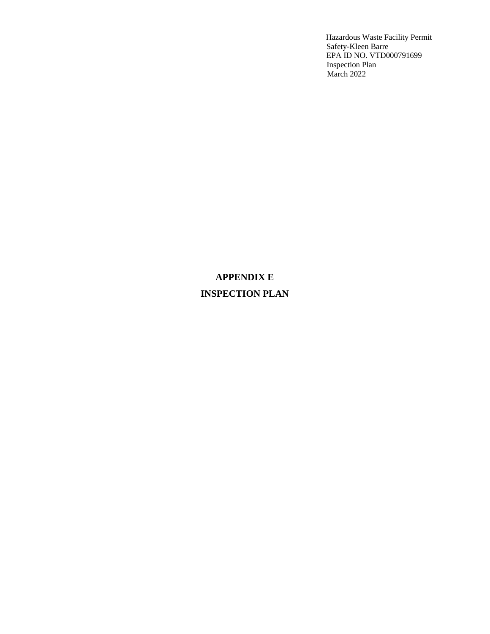# **APPENDIX E INSPECTION PLAN**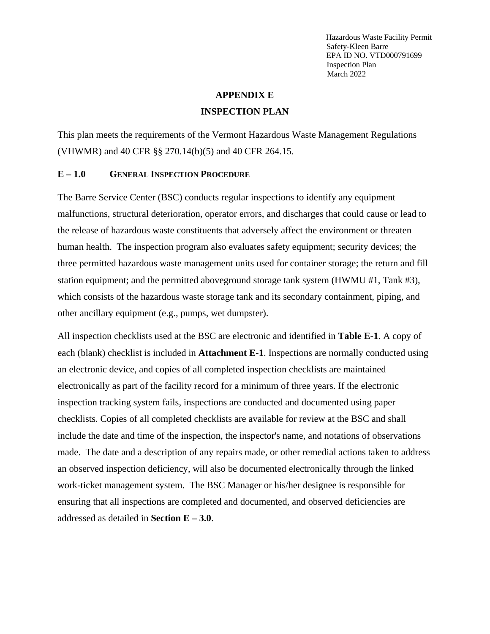#### **APPENDIX E**

### **INSPECTION PLAN**

This plan meets the requirements of the Vermont Hazardous Waste Management Regulations (VHWMR) and 40 CFR §§ 270.14(b)(5) and 40 CFR 264.15.

#### **E – 1.0 GENERAL INSPECTION PROCEDURE**

The Barre Service Center (BSC) conducts regular inspections to identify any equipment malfunctions, structural deterioration, operator errors, and discharges that could cause or lead to the release of hazardous waste constituents that adversely affect the environment or threaten human health. The inspection program also evaluates safety equipment; security devices; the three permitted hazardous waste management units used for container storage; the return and fill station equipment; and the permitted aboveground storage tank system (HWMU #1, Tank #3), which consists of the hazardous waste storage tank and its secondary containment, piping, and other ancillary equipment (e.g., pumps, wet dumpster).

All inspection checklists used at the BSC are electronic and identified in **Table E-1**. A copy of each (blank) checklist is included in **Attachment E-1**. Inspections are normally conducted using an electronic device, and copies of all completed inspection checklists are maintained electronically as part of the facility record for a minimum of three years. If the electronic inspection tracking system fails, inspections are conducted and documented using paper checklists. Copies of all completed checklists are available for review at the BSC and shall include the date and time of the inspection, the inspector's name, and notations of observations made. The date and a description of any repairs made, or other remedial actions taken to address an observed inspection deficiency, will also be documented electronically through the linked work-ticket management system. The BSC Manager or his/her designee is responsible for ensuring that all inspections are completed and documented, and observed deficiencies are addressed as detailed in **Section E – 3.0**.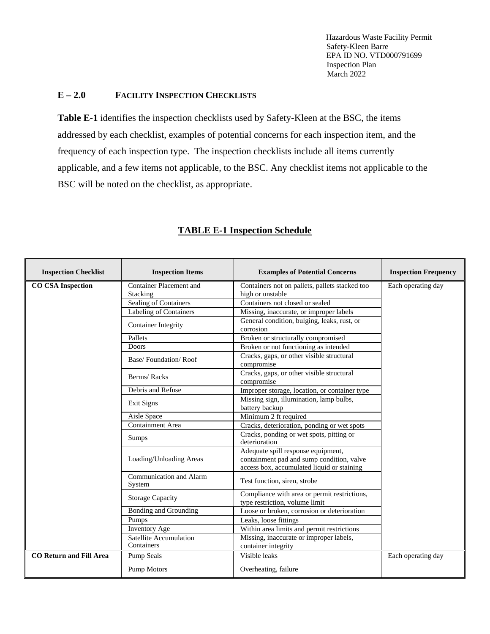### **E – 2.0 FACILITY INSPECTION CHECKLISTS**

**Table E-1** identifies the inspection checklists used by Safety-Kleen at the BSC, the items addressed by each checklist, examples of potential concerns for each inspection item, and the frequency of each inspection type. The inspection checklists include all items currently applicable, and a few items not applicable, to the BSC. Any checklist items not applicable to the BSC will be noted on the checklist, as appropriate.

| <b>Inspection Checklist</b>    | <b>Inspection Items</b>              | <b>Examples of Potential Concerns</b>                                                                                         | <b>Inspection Frequency</b> |
|--------------------------------|--------------------------------------|-------------------------------------------------------------------------------------------------------------------------------|-----------------------------|
| <b>CO CSA Inspection</b>       | Container Placement and<br>Stacking  | Containers not on pallets, pallets stacked too<br>high or unstable                                                            | Each operating day          |
|                                | Sealing of Containers                | Containers not closed or sealed                                                                                               |                             |
|                                | Labeling of Containers               | Missing, inaccurate, or improper labels                                                                                       |                             |
|                                | <b>Container Integrity</b>           | General condition, bulging, leaks, rust, or<br>corrosion                                                                      |                             |
|                                | Pallets                              | Broken or structurally compromised                                                                                            |                             |
|                                | Doors                                | Broken or not functioning as intended                                                                                         |                             |
|                                | Base/Foundation/Roof                 | Cracks, gaps, or other visible structural<br>compromise                                                                       |                             |
|                                | Berms/Racks                          | Cracks, gaps, or other visible structural<br>compromise                                                                       |                             |
|                                | Debris and Refuse                    | Improper storage, location, or container type                                                                                 |                             |
|                                | Exit Signs                           | Missing sign, illumination, lamp bulbs,<br>battery backup                                                                     |                             |
|                                | Aisle Space                          | Minimum 2 ft required                                                                                                         |                             |
|                                | <b>Containment Area</b>              | Cracks, deterioration, ponding or wet spots                                                                                   |                             |
|                                | Sumps                                | Cracks, ponding or wet spots, pitting or<br>deterioration                                                                     |                             |
|                                | Loading/Unloading Areas              | Adequate spill response equipment,<br>containment pad and sump condition, valve<br>access box, accumulated liquid or staining |                             |
|                                | Communication and Alarm<br>System    | Test function, siren, strobe                                                                                                  |                             |
|                                | <b>Storage Capacity</b>              | Compliance with area or permit restrictions,<br>type restriction, volume limit                                                |                             |
|                                | <b>Bonding and Grounding</b>         | Loose or broken, corrosion or deterioration                                                                                   |                             |
|                                | Pumps                                | Leaks, loose fittings                                                                                                         |                             |
|                                | <b>Inventory Age</b>                 | Within area limits and permit restrictions                                                                                    |                             |
|                                | Satellite Accumulation<br>Containers | Missing, inaccurate or improper labels,<br>container integrity                                                                |                             |
| <b>CO Return and Fill Area</b> | <b>Pump Seals</b>                    | Visible leaks                                                                                                                 | Each operating day          |
|                                | Pump Motors                          | Overheating, failure                                                                                                          |                             |

### **TABLE E-1 Inspection Schedule**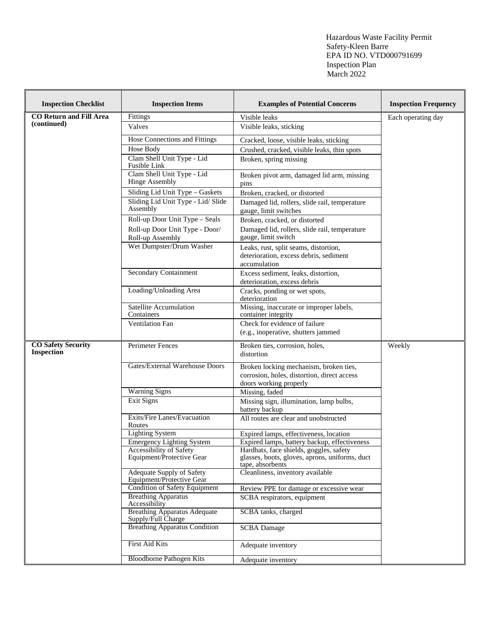| <b>Inspection Checklist</b>             | <b>Inspection Items</b>                                   | <b>Examples of Potential Concerns</b>                                                                           | <b>Inspection Frequency</b> |
|-----------------------------------------|-----------------------------------------------------------|-----------------------------------------------------------------------------------------------------------------|-----------------------------|
| <b>CO Return and Fill Area</b>          | Fittings                                                  | Visible leaks                                                                                                   | Each operating day          |
| (continued)                             | Valves                                                    | Visible leaks, sticking                                                                                         |                             |
|                                         | Hose Connections and Fittings                             | Cracked, loose, visible leaks, sticking                                                                         |                             |
|                                         | Hose Body                                                 | Crushed, cracked, visible leaks, thin spots                                                                     |                             |
|                                         | Clam Shell Unit Type - Lid<br>Fusible Link                | Broken, spring missing                                                                                          |                             |
|                                         | Clam Shell Unit Type - Lid<br><b>Hinge Assembly</b>       | Broken pivot arm, damaged lid arm, missing<br>pins                                                              |                             |
|                                         | Sliding Lid Unit Type - Gaskets                           | Broken, cracked, or distorted                                                                                   |                             |
|                                         | Sliding Lid Unit Type - Lid/ Slide<br>Assembly            | Damaged lid, rollers, slide rail, temperature<br>gauge, limit switches                                          |                             |
|                                         | Roll-up Door Unit Type - Seals                            | Broken, cracked, or distorted                                                                                   |                             |
|                                         | Roll-up Door Unit Type - Door/<br>Roll-up Assembly        | Damaged lid, rollers, slide rail, temperature<br>gauge, limit switch                                            |                             |
|                                         | Wet Dumpster/Drum Washer                                  | Leaks, rust, split seams, distortion,<br>deterioration, excess debris, sediment<br>accumulation                 |                             |
|                                         | <b>Secondary Containment</b>                              | Excess sediment, leaks, distortion,<br>deterioration, excess debris                                             |                             |
|                                         | Loading/Unloading Area                                    | Cracks, ponding or wet spots,<br>deterioration                                                                  |                             |
|                                         | Satellite Accumulation<br>Containers                      | Missing, inaccurate or improper labels,<br>container integrity                                                  |                             |
|                                         | <b>Ventilation Fan</b>                                    | Check for evidence of failure<br>(e.g., inoperative, shutters jammed                                            |                             |
| <b>CO Safety Security</b><br>Inspection | Perimeter Fences                                          | Broken ties, corrosion, holes,<br>distortion                                                                    | Weekly                      |
|                                         | Gates/External Warehouse Doors                            | Broken locking mechanism, broken ties,<br>corrosion, holes, distortion, direct access<br>doors working properly |                             |
|                                         | <b>Warning Signs</b>                                      | Missing, faded                                                                                                  |                             |
|                                         | Exit Signs                                                | Missing sign, illumination, lamp bulbs,<br>battery backup                                                       |                             |
|                                         | Exits/Fire Lanes/Evacuation<br>Routes                     | All routes are clear and unobstructed                                                                           |                             |
|                                         | <b>Lighting System</b>                                    | Expired lamps, effectiveness, location                                                                          |                             |
|                                         | <b>Emergency Lighting System</b>                          | Expired lamps, battery backup, effectiveness                                                                    |                             |
|                                         | Accessibility of Safety<br>Equipment/Protective Gear      | Hardhats, face shields, goggles, safety<br>glasses, boots, gloves, aprons, uniforms, duct<br>tape, absorbents   |                             |
|                                         | Adequate Supply of Safety<br>Equipment/Protective Gear    | Cleanliness, inventory available                                                                                |                             |
|                                         | <b>Condition of Safety Equipment</b>                      | Review PPE for damage or excessive wear                                                                         |                             |
|                                         | <b>Breathing Apparatus</b><br>Accessibility               | SCBA respirators, equipment                                                                                     |                             |
|                                         | <b>Breathing Apparatus Adequate</b><br>Supply/Full Charge | SCBA tanks, charged                                                                                             |                             |
|                                         | <b>Breathing Apparatus Condition</b>                      | <b>SCBA</b> Damage                                                                                              |                             |
|                                         | First Aid Kits                                            | Adequate inventory                                                                                              |                             |
|                                         | <b>Bloodborne Pathogen Kits</b>                           | Adequate inventory                                                                                              |                             |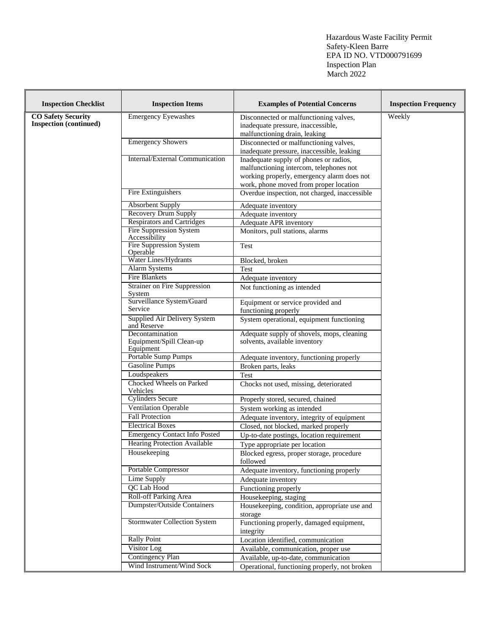| <b>Inspection Checklist</b>                                | <b>Inspection Items</b>                                  | <b>Examples of Potential Concerns</b>                                                                                                                                     | <b>Inspection Frequency</b> |
|------------------------------------------------------------|----------------------------------------------------------|---------------------------------------------------------------------------------------------------------------------------------------------------------------------------|-----------------------------|
| <b>CO Safety Security</b><br><b>Inspection</b> (continued) | <b>Emergency Eyewashes</b>                               | Disconnected or malfunctioning valves,<br>inadequate pressure, inaccessible,<br>malfunctioning drain, leaking                                                             | Weekly                      |
|                                                            | <b>Emergency Showers</b>                                 | Disconnected or malfunctioning valves,<br>inadequate pressure, inaccessible, leaking                                                                                      |                             |
|                                                            | Internal/External Communication                          | Inadequate supply of phones or radios,<br>malfunctioning intercom, telephones not<br>working properly, emergency alarm does not<br>work, phone moved from proper location |                             |
|                                                            | Fire Extinguishers                                       | Overdue inspection, not charged, inaccessible                                                                                                                             |                             |
|                                                            | <b>Absorbent Supply</b>                                  | Adequate inventory                                                                                                                                                        |                             |
|                                                            | Recovery Drum Supply                                     | Adequate inventory                                                                                                                                                        |                             |
|                                                            | <b>Respirators and Cartridges</b>                        | Adequate APR inventory                                                                                                                                                    |                             |
|                                                            | <b>Fire Suppression System</b><br>Accessibility          | Monitors, pull stations, alarms                                                                                                                                           |                             |
|                                                            | <b>Fire Suppression System</b><br>Operable               | Test                                                                                                                                                                      |                             |
|                                                            | Water Lines/Hydrants                                     | Blocked, broken                                                                                                                                                           |                             |
|                                                            | Alarm Systems                                            | Test                                                                                                                                                                      |                             |
|                                                            | <b>Fire Blankets</b>                                     | Adequate inventory                                                                                                                                                        |                             |
|                                                            | <b>Strainer on Fire Suppression</b><br>System            | Not functioning as intended                                                                                                                                               |                             |
|                                                            | Surveillance System/Guard                                | Equipment or service provided and                                                                                                                                         |                             |
|                                                            | Service                                                  | functioning properly                                                                                                                                                      |                             |
|                                                            | Supplied Air Delivery System<br>and Reserve              | System operational, equipment functioning                                                                                                                                 |                             |
|                                                            | Decontamination<br>Equipment/Spill Clean-up<br>Equipment | Adequate supply of shovels, mops, cleaning<br>solvents, available inventory                                                                                               |                             |
|                                                            | Portable Sump Pumps                                      | Adequate inventory, functioning properly                                                                                                                                  |                             |
|                                                            | Gasoline Pumps                                           | Broken parts, leaks                                                                                                                                                       |                             |
|                                                            | Loudspeakers                                             | Test                                                                                                                                                                      |                             |
|                                                            | Chocked Wheels on Parked<br>Vehicles                     | Chocks not used, missing, deteriorated                                                                                                                                    |                             |
|                                                            | <b>Cylinders Secure</b>                                  | Properly stored, secured, chained                                                                                                                                         |                             |
|                                                            | <b>Ventilation Operable</b>                              | System working as intended                                                                                                                                                |                             |
|                                                            | <b>Fall Protection</b>                                   | Adequate inventory, integrity of equipment                                                                                                                                |                             |
|                                                            | <b>Electrical Boxes</b>                                  | Closed, not blocked, marked properly                                                                                                                                      |                             |
|                                                            | <b>Emergency Contact Info Posted</b>                     | Up-to-date postings, location requirement                                                                                                                                 |                             |
|                                                            | <b>Hearing Protection Available</b>                      | Type appropriate per location                                                                                                                                             |                             |
|                                                            | Housekeeping                                             | Blocked egress, proper storage, procedure<br>followed                                                                                                                     |                             |
|                                                            | Portable Compressor                                      | Adequate inventory, functioning properly                                                                                                                                  |                             |
|                                                            | Lime Supply                                              | Adequate inventory                                                                                                                                                        |                             |
|                                                            | QC Lab Hood                                              | Functioning properly                                                                                                                                                      |                             |
|                                                            | Roll-off Parking Area                                    | Housekeeping, staging                                                                                                                                                     |                             |
|                                                            | <b>Dumpster/Outside Containers</b>                       | Housekeeping, condition, appropriate use and<br>storage                                                                                                                   |                             |
|                                                            | <b>Stormwater Collection System</b>                      | Functioning properly, damaged equipment,<br>integrity                                                                                                                     |                             |
|                                                            | <b>Rally Point</b>                                       | Location identified, communication                                                                                                                                        |                             |
|                                                            | Visitor Log                                              | Available, communication, proper use                                                                                                                                      |                             |
|                                                            | <b>Contingency Plan</b>                                  | Available, up-to-date, communication                                                                                                                                      |                             |
|                                                            | Wind Instrument/Wind Sock                                | Operational, functioning properly, not broken                                                                                                                             |                             |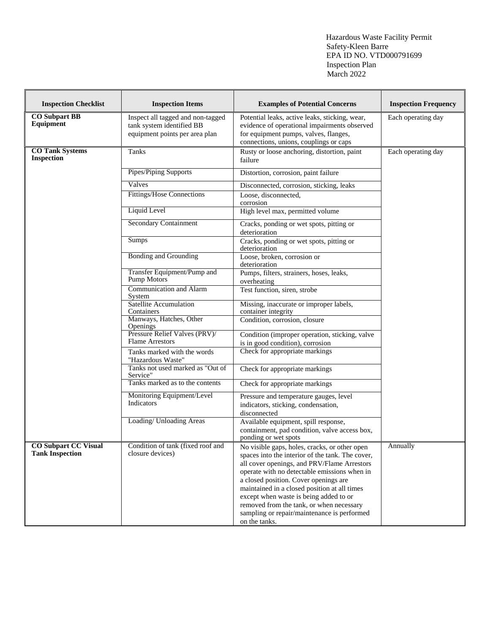| <b>Inspection Checklist</b>                           | <b>Inspection Items</b>                                                                          | <b>Examples of Potential Concerns</b>                                                                                                                                                                                                                                                                                                                                           | <b>Inspection Frequency</b> |
|-------------------------------------------------------|--------------------------------------------------------------------------------------------------|---------------------------------------------------------------------------------------------------------------------------------------------------------------------------------------------------------------------------------------------------------------------------------------------------------------------------------------------------------------------------------|-----------------------------|
| <b>CO</b> Subpart BB<br><b>Equipment</b>              | Inspect all tagged and non-tagged<br>tank system identified BB<br>equipment points per area plan | Potential leaks, active leaks, sticking, wear,<br>evidence of operational impairments observed<br>for equipment pumps, valves, flanges,<br>connections, unions, couplings or caps                                                                                                                                                                                               | Each operating day          |
| <b>CO Tank Systems</b><br><b>Inspection</b>           | Tanks                                                                                            | Rusty or loose anchoring, distortion, paint<br>failure                                                                                                                                                                                                                                                                                                                          | Each operating day          |
|                                                       | Pipes/Piping Supports                                                                            | Distortion, corrosion, paint failure                                                                                                                                                                                                                                                                                                                                            |                             |
|                                                       | Valves                                                                                           | Disconnected, corrosion, sticking, leaks                                                                                                                                                                                                                                                                                                                                        |                             |
|                                                       | Fittings/Hose Connections                                                                        | Loose, disconnected,<br>corrosion                                                                                                                                                                                                                                                                                                                                               |                             |
|                                                       | Liquid Level                                                                                     | High level max, permitted volume                                                                                                                                                                                                                                                                                                                                                |                             |
|                                                       | <b>Secondary Containment</b>                                                                     | Cracks, ponding or wet spots, pitting or<br>deterioration                                                                                                                                                                                                                                                                                                                       |                             |
|                                                       | Sumps                                                                                            | Cracks, ponding or wet spots, pitting or<br>deterioration                                                                                                                                                                                                                                                                                                                       |                             |
|                                                       | <b>Bonding and Grounding</b>                                                                     | Loose, broken, corrosion or<br>deterioration                                                                                                                                                                                                                                                                                                                                    |                             |
|                                                       | Transfer Equipment/Pump and<br>Pump Motors                                                       | Pumps, filters, strainers, hoses, leaks,<br>overheating                                                                                                                                                                                                                                                                                                                         |                             |
|                                                       | <b>Communication and Alarm</b><br>System                                                         | Test function, siren, strobe                                                                                                                                                                                                                                                                                                                                                    |                             |
|                                                       | <b>Satellite Accumulation</b><br>Containers                                                      | Missing, inaccurate or improper labels,<br>container integrity                                                                                                                                                                                                                                                                                                                  |                             |
|                                                       | Manways, Hatches, Other<br>Openings                                                              | Condition, corrosion, closure                                                                                                                                                                                                                                                                                                                                                   |                             |
|                                                       | Pressure Relief Valves (PRV)/<br><b>Flame Arrestors</b>                                          | Condition (improper operation, sticking, valve<br>is in good condition), corrosion                                                                                                                                                                                                                                                                                              |                             |
|                                                       | Tanks marked with the words<br>"Hazardous Waste"                                                 | Check for appropriate markings                                                                                                                                                                                                                                                                                                                                                  |                             |
|                                                       | Tanks not used marked as "Out of<br>Service"                                                     | Check for appropriate markings                                                                                                                                                                                                                                                                                                                                                  |                             |
|                                                       | Tanks marked as to the contents                                                                  | Check for appropriate markings                                                                                                                                                                                                                                                                                                                                                  |                             |
|                                                       | Monitoring Equipment/Level<br>Indicators                                                         | Pressure and temperature gauges, level<br>indicators, sticking, condensation,<br>disconnected                                                                                                                                                                                                                                                                                   |                             |
|                                                       | Loading/ Unloading Areas                                                                         | Available equipment, spill response,<br>containment, pad condition, valve access box,<br>ponding or wet spots                                                                                                                                                                                                                                                                   |                             |
| <b>CO</b> Subpart CC Visual<br><b>Tank Inspection</b> | Condition of tank (fixed roof and<br>closure devices)                                            | No visible gaps, holes, cracks, or other open<br>spaces into the interior of the tank. The cover,<br>all cover openings, and PRV/Flame Arrestors<br>operate with no detectable emissions when in<br>a closed position. Cover openings are<br>maintained in a closed position at all times<br>except when waste is being added to or<br>removed from the tank, or when necessary | Annually                    |
|                                                       |                                                                                                  | sampling or repair/maintenance is performed<br>on the tanks.                                                                                                                                                                                                                                                                                                                    |                             |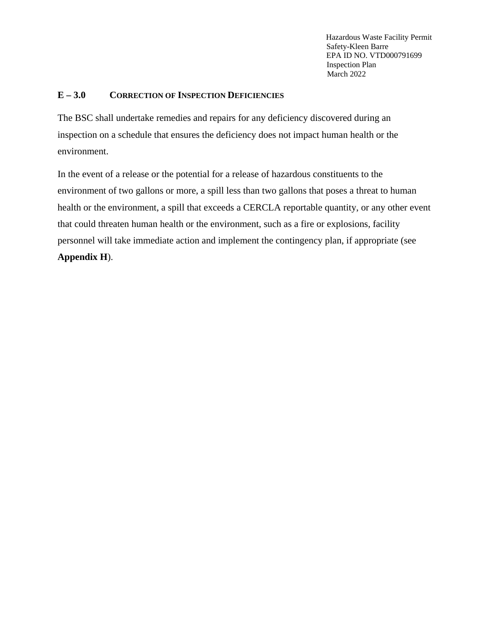### **E – 3.0 CORRECTION OF INSPECTION DEFICIENCIES**

The BSC shall undertake remedies and repairs for any deficiency discovered during an inspection on a schedule that ensures the deficiency does not impact human health or the environment.

In the event of a release or the potential for a release of hazardous constituents to the environment of two gallons or more, a spill less than two gallons that poses a threat to human health or the environment, a spill that exceeds a CERCLA reportable quantity, or any other event that could threaten human health or the environment, such as a fire or explosions, facility personnel will take immediate action and implement the contingency plan, if appropriate (see **Appendix H**).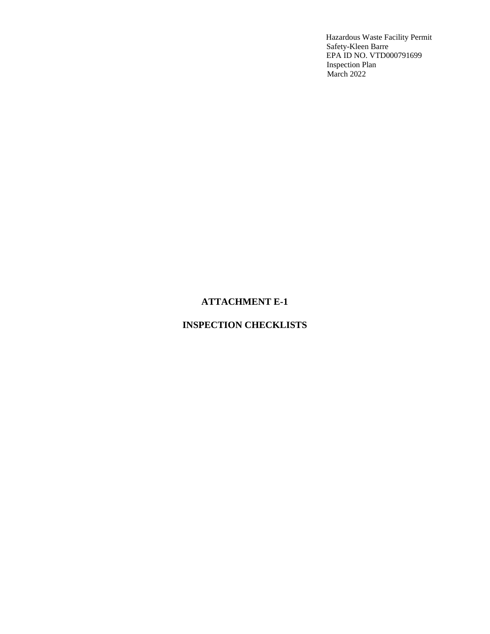### **ATTACHMENT E-1**

## **INSPECTION CHECKLISTS**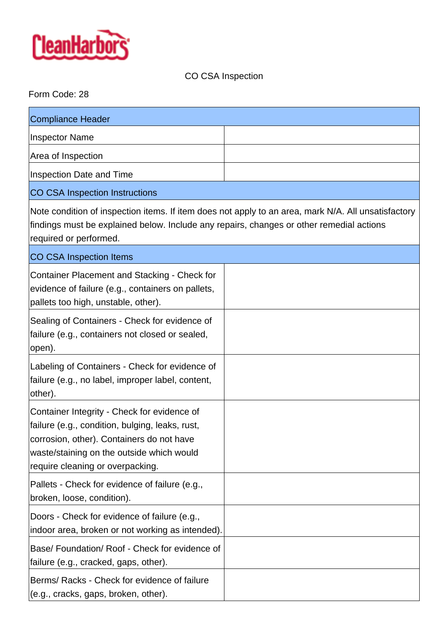

# CO CSA Inspection

## Form Code: 28

| <b>Compliance Header</b>                                                                                                                                                                                                     |  |
|------------------------------------------------------------------------------------------------------------------------------------------------------------------------------------------------------------------------------|--|
| <b>Inspector Name</b>                                                                                                                                                                                                        |  |
| Area of Inspection                                                                                                                                                                                                           |  |
| Inspection Date and Time                                                                                                                                                                                                     |  |
| <b>CO CSA Inspection Instructions</b>                                                                                                                                                                                        |  |
| Note condition of inspection items. If item does not apply to an area, mark N/A. All unsatisfactory<br>findings must be explained below. Include any repairs, changes or other remedial actions<br>required or performed.    |  |
| CO CSA Inspection Items                                                                                                                                                                                                      |  |
| Container Placement and Stacking - Check for<br>evidence of failure (e.g., containers on pallets,<br>pallets too high, unstable, other).                                                                                     |  |
| Sealing of Containers - Check for evidence of<br>failure (e.g., containers not closed or sealed,<br>open).                                                                                                                   |  |
| Labeling of Containers - Check for evidence of<br>failure (e.g., no label, improper label, content,<br>other).                                                                                                               |  |
| Container Integrity - Check for evidence of<br>failure (e.g., condition, bulging, leaks, rust,<br>corrosion, other). Containers do not have<br>waste/staining on the outside which would<br>require cleaning or overpacking. |  |
| Pallets - Check for evidence of failure (e.g.,<br>broken, loose, condition).                                                                                                                                                 |  |
| Doors - Check for evidence of failure (e.g.,<br>indoor area, broken or not working as intended).                                                                                                                             |  |
| Base/Foundation/Roof - Check for evidence of<br>failure (e.g., cracked, gaps, other).                                                                                                                                        |  |
| Berms/ Racks - Check for evidence of failure<br>(e.g., cracks, gaps, broken, other).                                                                                                                                         |  |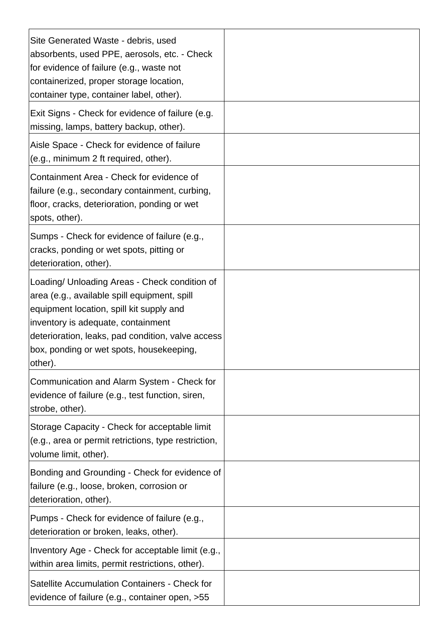| Site Generated Waste - debris, used<br>absorbents, used PPE, aerosols, etc. - Check<br>for evidence of failure (e.g., waste not<br>containerized, proper storage location,<br>container type, container label, other).                                                                       |  |
|----------------------------------------------------------------------------------------------------------------------------------------------------------------------------------------------------------------------------------------------------------------------------------------------|--|
| Exit Signs - Check for evidence of failure (e.g.<br>missing, lamps, battery backup, other).                                                                                                                                                                                                  |  |
| Aisle Space - Check for evidence of failure<br>(e.g., minimum 2 ft required, other).                                                                                                                                                                                                         |  |
| Containment Area - Check for evidence of<br>failure (e.g., secondary containment, curbing,<br>floor, cracks, deterioration, ponding or wet<br>spots, other).                                                                                                                                 |  |
| Sumps - Check for evidence of failure (e.g.,<br>cracks, ponding or wet spots, pitting or<br>deterioration, other).                                                                                                                                                                           |  |
| Loading/ Unloading Areas - Check condition of<br>area (e.g., available spill equipment, spill<br>equipment location, spill kit supply and<br>inventory is adequate, containment<br>deterioration, leaks, pad condition, valve access<br>box, ponding or wet spots, housekeeping,<br> other). |  |
| Communication and Alarm System - Check for<br>evidence of failure (e.g., test function, siren,<br>strobe, other).                                                                                                                                                                            |  |
| Storage Capacity - Check for acceptable limit<br>(e.g., area or permit retrictions, type restriction,<br>volume limit, other).                                                                                                                                                               |  |
| Bonding and Grounding - Check for evidence of<br>failure (e.g., loose, broken, corrosion or<br>deterioration, other).                                                                                                                                                                        |  |
| Pumps - Check for evidence of failure (e.g.,<br>deterioration or broken, leaks, other).                                                                                                                                                                                                      |  |
| Inventory Age - Check for acceptable limit (e.g.,<br>within area limits, permit restrictions, other).                                                                                                                                                                                        |  |
| Satellite Accumulation Containers - Check for<br>evidence of failure (e.g., container open, >55                                                                                                                                                                                              |  |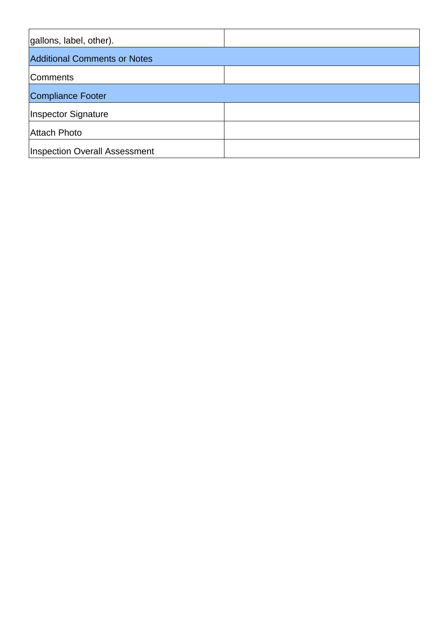| gallons, label, other).              |  |
|--------------------------------------|--|
| <b>Additional Comments or Notes</b>  |  |
| Comments                             |  |
| Compliance Footer                    |  |
| Inspector Signature                  |  |
| Attach Photo                         |  |
| <b>Inspection Overall Assessment</b> |  |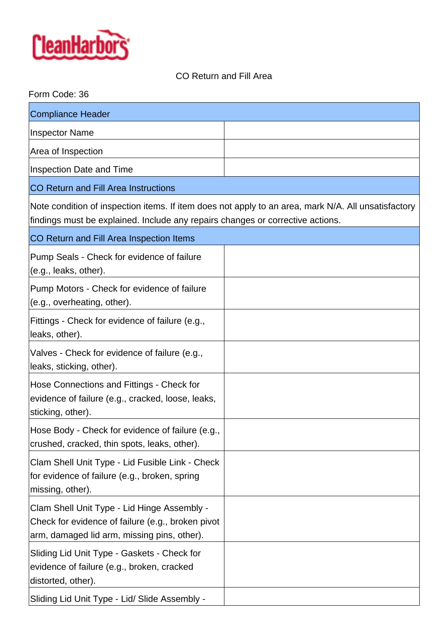

# CO Return and Fill Area

| Form Code: 36                                                                                                                                                                         |  |
|---------------------------------------------------------------------------------------------------------------------------------------------------------------------------------------|--|
| <b>Compliance Header</b>                                                                                                                                                              |  |
| <b>Inspector Name</b>                                                                                                                                                                 |  |
| Area of Inspection                                                                                                                                                                    |  |
| Inspection Date and Time                                                                                                                                                              |  |
| <b>CO Return and Fill Area Instructions</b>                                                                                                                                           |  |
| Note condition of inspection items. If item does not apply to an area, mark N/A. All unsatisfactory<br>findings must be explained. Include any repairs changes or corrective actions. |  |
| CO Return and Fill Area Inspection Items                                                                                                                                              |  |
| Pump Seals - Check for evidence of failure<br>(e.g., leaks, other).                                                                                                                   |  |
| Pump Motors - Check for evidence of failure<br>(e.g., overheating, other).                                                                                                            |  |
| Fittings - Check for evidence of failure (e.g.,<br>leaks, other).                                                                                                                     |  |
| Valves - Check for evidence of failure (e.g.,<br>leaks, sticking, other).                                                                                                             |  |
| Hose Connections and Fittings - Check for<br>evidence of failure (e.g., cracked, loose, leaks,<br>sticking, other).                                                                   |  |
| Hose Body - Check for evidence of failure (e.g.,<br>crushed, cracked, thin spots, leaks, other).                                                                                      |  |
| Clam Shell Unit Type - Lid Fusible Link - Check<br>for evidence of failure (e.g., broken, spring<br>missing, other).                                                                  |  |
| Clam Shell Unit Type - Lid Hinge Assembly -<br>Check for evidence of failure (e.g., broken pivot<br>arm, damaged lid arm, missing pins, other).                                       |  |
| Sliding Lid Unit Type - Gaskets - Check for<br>evidence of failure (e.g., broken, cracked<br>distorted, other).                                                                       |  |
| Sliding Lid Unit Type - Lid/ Slide Assembly -                                                                                                                                         |  |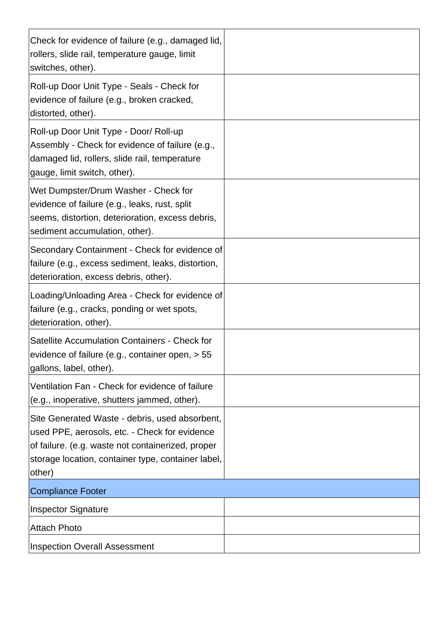| Check for evidence of failure (e.g., damaged lid,<br>rollers, slide rail, temperature gauge, limit<br>switches, other).                                                                                              |  |
|----------------------------------------------------------------------------------------------------------------------------------------------------------------------------------------------------------------------|--|
| Roll-up Door Unit Type - Seals - Check for<br>evidence of failure (e.g., broken cracked,<br>distorted, other).                                                                                                       |  |
| Roll-up Door Unit Type - Door/ Roll-up<br>Assembly - Check for evidence of failure (e.g.,<br>damaged lid, rollers, slide rail, temperature<br>gauge, limit switch, other).                                           |  |
| Wet Dumpster/Drum Washer - Check for<br>evidence of failure (e.g., leaks, rust, split<br>seems, distortion, deterioration, excess debris,<br>sediment accumulation, other).                                          |  |
| Secondary Containment - Check for evidence of<br>failure (e.g., excess sediment, leaks, distortion,<br>deterioration, excess debris, other).                                                                         |  |
| Loading/Unloading Area - Check for evidence of<br>failure (e.g., cracks, ponding or wet spots,<br>deterioration, other).                                                                                             |  |
| Satellite Accumulation Containers - Check for<br>evidence of failure (e.g., container open, > 55<br>gallons, label, other).                                                                                          |  |
| Ventilation Fan - Check for evidence of failure<br>(e.g., inoperative, shutters jammed, other).                                                                                                                      |  |
| Site Generated Waste - debris, used absorbent,<br>used PPE, aerosols, etc. - Check for evidence<br>of failure. (e.g. waste not containerized, proper<br>storage location, container type, container label,<br>other) |  |
| <b>Compliance Footer</b>                                                                                                                                                                                             |  |
| <b>Inspector Signature</b>                                                                                                                                                                                           |  |
| <b>Attach Photo</b>                                                                                                                                                                                                  |  |
| <b>Inspection Overall Assessment</b>                                                                                                                                                                                 |  |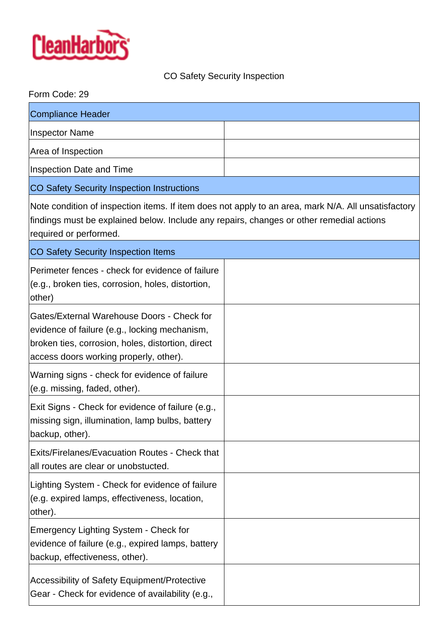

# CO Safety Security Inspection

| Form Code: 29                                                                                                                                                                                                             |  |  |
|---------------------------------------------------------------------------------------------------------------------------------------------------------------------------------------------------------------------------|--|--|
| <b>Compliance Header</b>                                                                                                                                                                                                  |  |  |
| <b>Inspector Name</b>                                                                                                                                                                                                     |  |  |
| Area of Inspection                                                                                                                                                                                                        |  |  |
| Inspection Date and Time                                                                                                                                                                                                  |  |  |
| CO Safety Security Inspection Instructions                                                                                                                                                                                |  |  |
| Note condition of inspection items. If item does not apply to an area, mark N/A. All unsatisfactory<br>findings must be explained below. Include any repairs, changes or other remedial actions<br>required or performed. |  |  |
| <b>CO Safety Security Inspection Items</b>                                                                                                                                                                                |  |  |
| Perimeter fences - check for evidence of failure<br>(e.g., broken ties, corrosion, holes, distortion,<br>other)                                                                                                           |  |  |
| Gates/External Warehouse Doors - Check for<br>evidence of failure (e.g., locking mechanism,<br>broken ties, corrosion, holes, distortion, direct<br>access doors working properly, other).                                |  |  |
| Warning signs - check for evidence of failure<br>(e.g. missing, faded, other).                                                                                                                                            |  |  |
| Exit Signs - Check for evidence of failure (e.g.,<br>missing sign, illumination, lamp bulbs, battery<br>backup, other).                                                                                                   |  |  |
| Exits/Firelanes/Evacuation Routes - Check that<br>all routes are clear or unobstucted.                                                                                                                                    |  |  |
| Lighting System - Check for evidence of failure<br>(e.g. expired lamps, effectiveness, location,<br>other).                                                                                                               |  |  |
| <b>Emergency Lighting System - Check for</b><br>evidence of failure (e.g., expired lamps, battery<br>backup, effectiveness, other).                                                                                       |  |  |
| <b>Accessibility of Safety Equipment/Protective</b><br>Gear - Check for evidence of availability (e.g.,                                                                                                                   |  |  |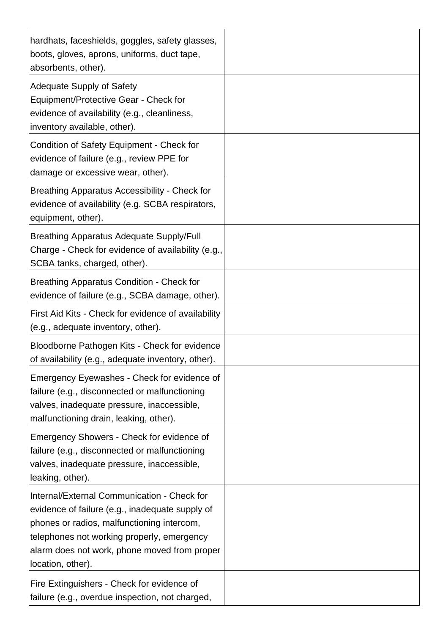| hardhats, faceshields, goggles, safety glasses,<br>boots, gloves, aprons, uniforms, duct tape,<br>absorbents, other).                                                                                                                                           |  |
|-----------------------------------------------------------------------------------------------------------------------------------------------------------------------------------------------------------------------------------------------------------------|--|
| <b>Adequate Supply of Safety</b><br>Equipment/Protective Gear - Check for<br>evidence of availability (e.g., cleanliness,<br>inventory available, other).                                                                                                       |  |
| Condition of Safety Equipment - Check for<br>evidence of failure (e.g., review PPE for<br>damage or excessive wear, other).                                                                                                                                     |  |
| Breathing Apparatus Accessibility - Check for<br>evidence of availability (e.g. SCBA respirators,<br>equipment, other).                                                                                                                                         |  |
| <b>Breathing Apparatus Adequate Supply/Full</b><br>Charge - Check for evidence of availability (e.g.,<br>SCBA tanks, charged, other).                                                                                                                           |  |
| <b>Breathing Apparatus Condition - Check for</b><br>evidence of failure (e.g., SCBA damage, other).                                                                                                                                                             |  |
| First Aid Kits - Check for evidence of availability<br>(e.g., adequate inventory, other).                                                                                                                                                                       |  |
| Bloodborne Pathogen Kits - Check for evidence<br>of availability (e.g., adequate inventory, other).                                                                                                                                                             |  |
| Emergency Eyewashes - Check for evidence of<br>failure (e.g., disconnected or malfunctioning<br>valves, inadequate pressure, inaccessible,<br>malfunctioning drain, leaking, other).                                                                            |  |
| Emergency Showers - Check for evidence of<br>failure (e.g., disconnected or malfunctioning<br>valves, inadequate pressure, inaccessible,<br>leaking, other).                                                                                                    |  |
| Internal/External Communication - Check for<br>evidence of failure (e.g., inadequate supply of<br>phones or radios, malfunctioning intercom,<br>telephones not working properly, emergency<br>alarm does not work, phone moved from proper<br>location, other). |  |
| Fire Extinguishers - Check for evidence of<br>failure (e.g., overdue inspection, not charged,                                                                                                                                                                   |  |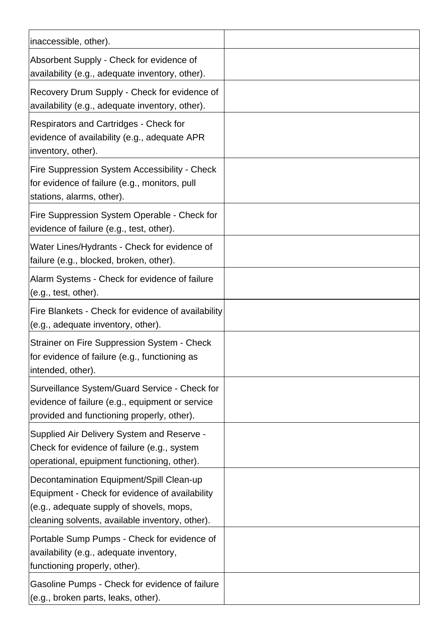| inaccessible, other).                                                                                                                                                                     |  |
|-------------------------------------------------------------------------------------------------------------------------------------------------------------------------------------------|--|
| Absorbent Supply - Check for evidence of<br>availability (e.g., adequate inventory, other).                                                                                               |  |
| Recovery Drum Supply - Check for evidence of<br>availability (e.g., adequate inventory, other).                                                                                           |  |
| Respirators and Cartridges - Check for<br>evidence of availability (e.g., adequate APR<br>inventory, other).                                                                              |  |
| Fire Suppression System Accessibility - Check<br>for evidence of failure (e.g., monitors, pull<br>stations, alarms, other).                                                               |  |
| Fire Suppression System Operable - Check for<br>evidence of failure (e.g., test, other).                                                                                                  |  |
| Water Lines/Hydrants - Check for evidence of<br>failure (e.g., blocked, broken, other).                                                                                                   |  |
| Alarm Systems - Check for evidence of failure<br>(e.g., test, other).                                                                                                                     |  |
| Fire Blankets - Check for evidence of availability<br>(e.g., adequate inventory, other).                                                                                                  |  |
| Strainer on Fire Suppression System - Check<br>for evidence of failure (e.g., functioning as<br>intended, other).                                                                         |  |
| Surveillance System/Guard Service - Check for<br>evidence of failure (e.g., equipment or service<br>provided and functioning properly, other).                                            |  |
| Supplied Air Delivery System and Reserve -<br>Check for evidence of failure (e.g., system<br>operational, epuipment functioning, other).                                                  |  |
| Decontamination Equipment/Spill Clean-up<br>Equipment - Check for evidence of availability<br>(e.g., adequate supply of shovels, mops,<br>cleaning solvents, available inventory, other). |  |
| Portable Sump Pumps - Check for evidence of<br>availability (e.g., adequate inventory,<br>functioning properly, other).                                                                   |  |
| Gasoline Pumps - Check for evidence of failure<br>(e.g., broken parts, leaks, other).                                                                                                     |  |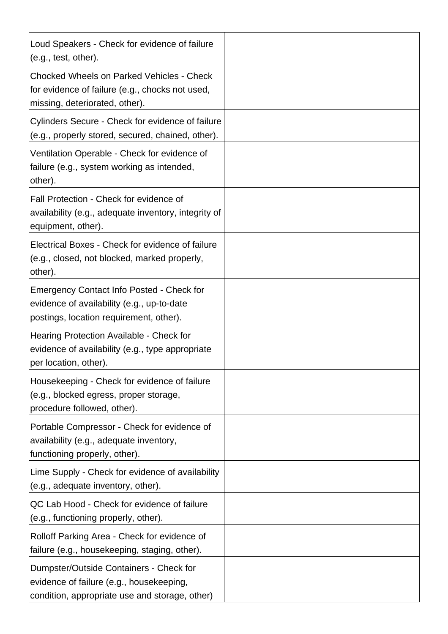| Loud Speakers - Check for evidence of failure<br>(e.g., test, other).                                                                 |  |
|---------------------------------------------------------------------------------------------------------------------------------------|--|
| <b>Chocked Wheels on Parked Vehicles - Check</b><br>for evidence of failure (e.g., chocks not used,<br>missing, deteriorated, other). |  |
| Cylinders Secure - Check for evidence of failure<br>(e.g., properly stored, secured, chained, other).                                 |  |
| Ventilation Operable - Check for evidence of<br>failure (e.g., system working as intended,<br>other).                                 |  |
| Fall Protection - Check for evidence of<br>availability (e.g., adequate inventory, integrity of<br>equipment, other).                 |  |
| Electrical Boxes - Check for evidence of failure<br>(e.g., closed, not blocked, marked properly,<br>other).                           |  |
| Emergency Contact Info Posted - Check for<br>evidence of availability (e.g., up-to-date<br>postings, location requirement, other).    |  |
| Hearing Protection Available - Check for<br>evidence of availability (e.g., type appropriate<br>per location, other).                 |  |
| Housekeeping - Check for evidence of failure<br>(e.g., blocked egress, proper storage,<br>procedure followed, other).                 |  |
| Portable Compressor - Check for evidence of<br>availability (e.g., adequate inventory,<br>functioning properly, other).               |  |
| Lime Supply - Check for evidence of availability<br>(e.g., adequate inventory, other).                                                |  |
| QC Lab Hood - Check for evidence of failure<br>(e.g., functioning properly, other).                                                   |  |
| Rolloff Parking Area - Check for evidence of<br>failure (e.g., housekeeping, staging, other).                                         |  |
| Dumpster/Outside Containers - Check for<br>evidence of failure (e.g., housekeeping,<br>condition, appropriate use and storage, other) |  |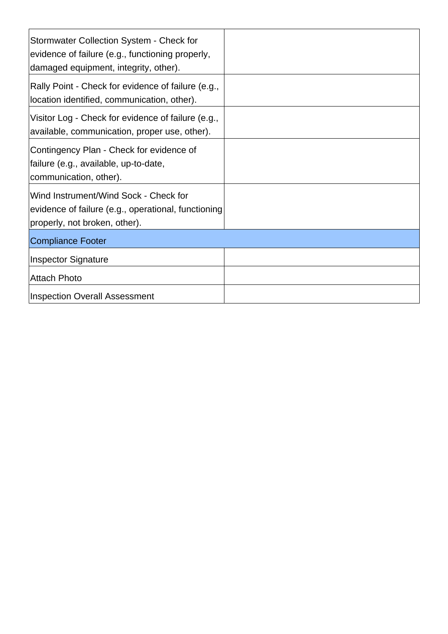| Stormwater Collection System - Check for<br>evidence of failure (e.g., functioning properly,<br>damaged equipment, integrity, other). |  |
|---------------------------------------------------------------------------------------------------------------------------------------|--|
| Rally Point - Check for evidence of failure (e.g.,<br>location identified, communication, other).                                     |  |
| Visitor Log - Check for evidence of failure (e.g.,<br>available, communication, proper use, other).                                   |  |
| Contingency Plan - Check for evidence of<br>failure (e.g., available, up-to-date,<br>communication, other).                           |  |
| Wind Instrument/Wind Sock - Check for<br>evidence of failure (e.g., operational, functioning<br>properly, not broken, other).         |  |
| <b>Compliance Footer</b>                                                                                                              |  |
| <b>Inspector Signature</b>                                                                                                            |  |
| <b>Attach Photo</b>                                                                                                                   |  |
| <b>Inspection Overall Assessment</b>                                                                                                  |  |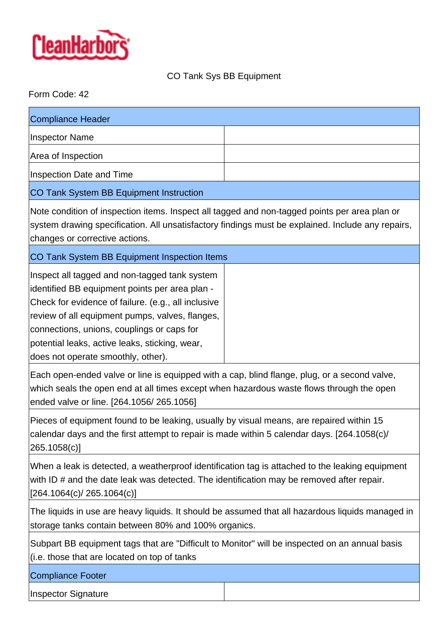

# CO Tank Sys BB Equipment

## Form Code: 42

| Compliance Header                                                                                 |  |
|---------------------------------------------------------------------------------------------------|--|
| Inspector Name                                                                                    |  |
| Area of Inspection                                                                                |  |
| <b>Inspection Date and Time</b>                                                                   |  |
| <b>CO Tank System BB Equipment Instruction</b>                                                    |  |
| $\Delta$ and time of increasing items then at all tegrand and non-tegrand points per area plan or |  |

Note condition of inspection items. Inspect all tagged and non-tagged points per area plan or system drawing specification. All unsatisfactory findings must be explained. Include any repairs, changes or corrective actions.

CO Tank System BB Equipment Inspection Items

Inspect all tagged and non-tagged tank system identified BB equipment points per area plan - Check for evidence of failure. (e.g., all inclusive review of all equipment pumps, valves, flanges, connections, unions, couplings or caps for potential leaks, active leaks, sticking, wear, does not operate smoothly, other).

Each open-ended valve or line is equipped with a cap, blind flange, plug, or a second valve, which seals the open end at all times except when hazardous waste flows through the open ended valve or line. [264.1056/ 265.1056]

Pieces of equipment found to be leaking, usually by visual means, are repaired within 15 calendar days and the first attempt to repair is made within 5 calendar days. [264.1058(c)/ 265.1058(c)]

When a leak is detected, a weatherproof identification tag is attached to the leaking equipment with ID # and the date leak was detected. The identification may be removed after repair. [264.1064(c)/ 265.1064(c)]

The liquids in use are heavy liquids. It should be assumed that all hazardous liquids managed in storage tanks contain between 80% and 100% organics.

Subpart BB equipment tags that are "Difficult to Monitor" will be inspected on an annual basis (i.e. those that are located on top of tanks

Compliance Footer

Inspector Signature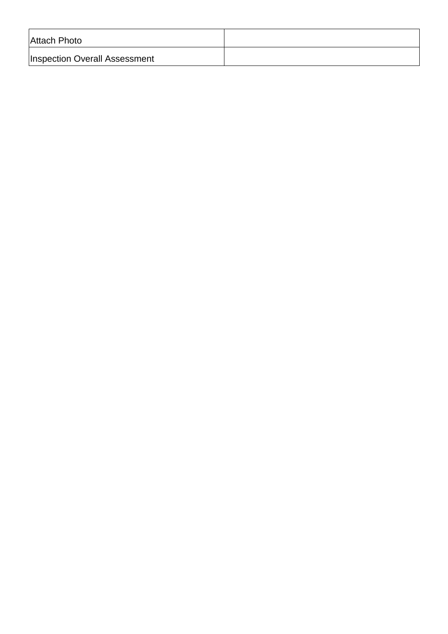| Attach Photo                         |  |
|--------------------------------------|--|
| <b>Inspection Overall Assessment</b> |  |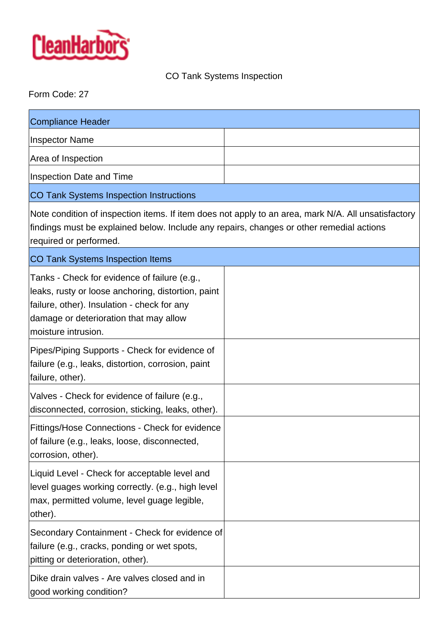

# CO Tank Systems Inspection

# Form Code: 27

| <b>Compliance Header</b>                                                                                                                                                                                                  |  |
|---------------------------------------------------------------------------------------------------------------------------------------------------------------------------------------------------------------------------|--|
| <b>Inspector Name</b>                                                                                                                                                                                                     |  |
| Area of Inspection                                                                                                                                                                                                        |  |
| <b>Inspection Date and Time</b>                                                                                                                                                                                           |  |
| <b>CO Tank Systems Inspection Instructions</b>                                                                                                                                                                            |  |
| Note condition of inspection items. If item does not apply to an area, mark N/A. All unsatisfactory<br>findings must be explained below. Include any repairs, changes or other remedial actions<br>required or performed. |  |
| <b>CO Tank Systems Inspection Items</b>                                                                                                                                                                                   |  |
| Tanks - Check for evidence of failure (e.g.,<br>leaks, rusty or loose anchoring, distortion, paint<br>failure, other). Insulation - check for any<br>damage or deterioration that may allow<br>moisture intrusion.        |  |
| Pipes/Piping Supports - Check for evidence of<br>failure (e.g., leaks, distortion, corrosion, paint<br>failure, other).                                                                                                   |  |
| Valves - Check for evidence of failure (e.g.,<br>disconnected, corrosion, sticking, leaks, other).                                                                                                                        |  |
| Fittings/Hose Connections - Check for evidence<br>of failure (e.g., leaks, loose, disconnected,<br>corrosion, other).                                                                                                     |  |
| Liquid Level - Check for acceptable level and<br>level guages working correctly. (e.g., high level<br>max, permitted volume, level guage legible,<br>other).                                                              |  |
| Secondary Containment - Check for evidence of<br>failure (e.g., cracks, ponding or wet spots,<br>pitting or deterioration, other).                                                                                        |  |
| Dike drain valves - Are valves closed and in<br>good working condition?                                                                                                                                                   |  |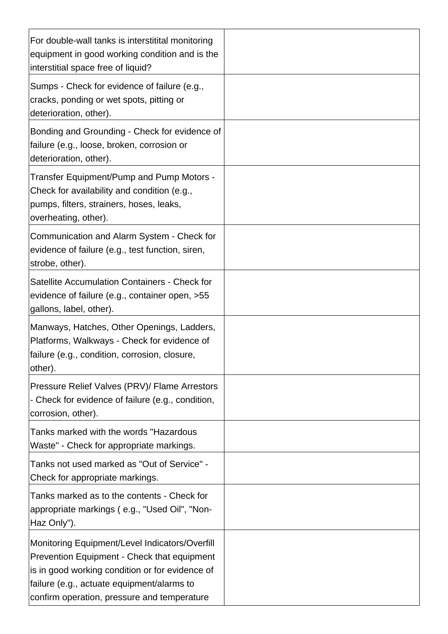| For double-wall tanks is interstitital monitoring<br>equipment in good working condition and is the<br>interstitial space free of liquid?                                                                                                     |  |
|-----------------------------------------------------------------------------------------------------------------------------------------------------------------------------------------------------------------------------------------------|--|
| Sumps - Check for evidence of failure (e.g.,<br>cracks, ponding or wet spots, pitting or<br>deterioration, other).                                                                                                                            |  |
| Bonding and Grounding - Check for evidence of<br>failure (e.g., loose, broken, corrosion or<br>deterioration, other).                                                                                                                         |  |
| Transfer Equipment/Pump and Pump Motors -<br>Check for availability and condition (e.g.,<br>pumps, filters, strainers, hoses, leaks,<br>overheating, other).                                                                                  |  |
| Communication and Alarm System - Check for<br>evidence of failure (e.g., test function, siren,<br>strobe, other).                                                                                                                             |  |
| Satellite Accumulation Containers - Check for<br>evidence of failure (e.g., container open, >55<br>gallons, label, other).                                                                                                                    |  |
| Manways, Hatches, Other Openings, Ladders,<br>Platforms, Walkways - Check for evidence of<br>failure (e.g., condition, corrosion, closure,<br>other).                                                                                         |  |
| Pressure Relief Valves (PRV)/ Flame Arrestors<br>- Check for evidence of failure (e.g., condition,<br>corrosion, other).                                                                                                                      |  |
| Tanks marked with the words "Hazardous<br>Waste" - Check for appropriate markings.                                                                                                                                                            |  |
| Tanks not used marked as "Out of Service" -<br>Check for appropriate markings.                                                                                                                                                                |  |
| Tanks marked as to the contents - Check for<br>appropriate markings (e.g., "Used Oil", "Non-<br>Haz Only").                                                                                                                                   |  |
| Monitoring Equipment/Level Indicators/Overfill<br>Prevention Equipment - Check that equipment<br>is in good working condition or for evidence of<br>failure (e.g., actuate equipment/alarms to<br>confirm operation, pressure and temperature |  |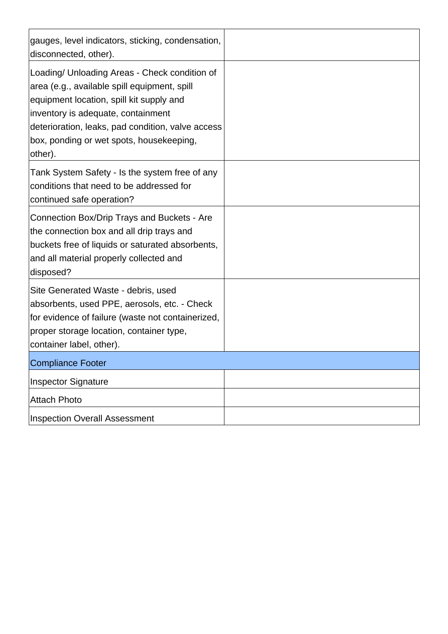| gauges, level indicators, sticking, condensation,<br>disconnected, other).                                                                                                                                                                                                                  |  |
|---------------------------------------------------------------------------------------------------------------------------------------------------------------------------------------------------------------------------------------------------------------------------------------------|--|
| Loading/ Unloading Areas - Check condition of<br>area (e.g., available spill equipment, spill<br>equipment location, spill kit supply and<br>inventory is adequate, containment<br>deterioration, leaks, pad condition, valve access<br>box, ponding or wet spots, housekeeping,<br>other). |  |
| Tank System Safety - Is the system free of any<br>conditions that need to be addressed for<br>continued safe operation?                                                                                                                                                                     |  |
| Connection Box/Drip Trays and Buckets - Are<br>the connection box and all drip trays and<br>buckets free of liquids or saturated absorbents,<br>and all material properly collected and<br>disposed?                                                                                        |  |
| Site Generated Waste - debris, used<br>absorbents, used PPE, aerosols, etc. - Check<br>for evidence of failure (waste not containerized,<br>proper storage location, container type,<br>container label, other).                                                                            |  |
| Compliance Footer                                                                                                                                                                                                                                                                           |  |
| <b>Inspector Signature</b>                                                                                                                                                                                                                                                                  |  |
| <b>Attach Photo</b>                                                                                                                                                                                                                                                                         |  |
| <b>Inspection Overall Assessment</b>                                                                                                                                                                                                                                                        |  |